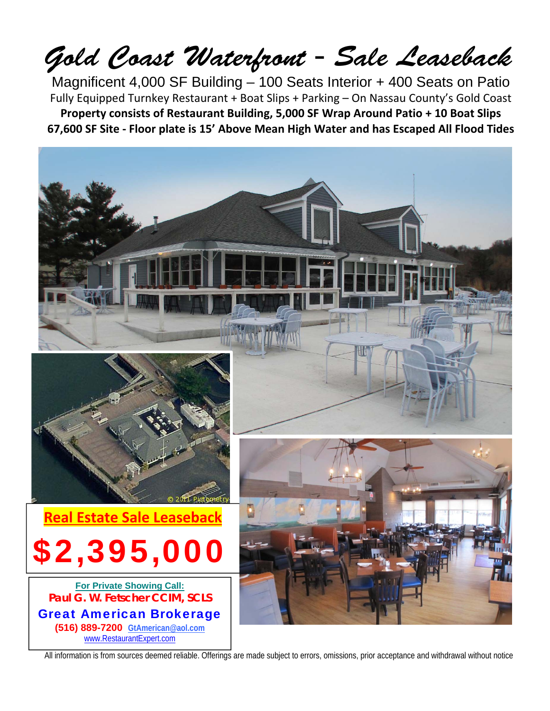## Gold Coast Waterfront - Sale Leaseback

Magnificent 4,000 SF Building – 100 Seats Interior + 400 Seats on Patio Fully Equipped Turnkey Restaurant + Boat Slips + Parking – On Nassau County's Gold Coast **Property consists of Restaurant Building, 5,000 SF Wrap Around Patio + 10 Boat Slips 67,600 SF Site ‐ Floor plate is 15' Above Mean High Water and has Escaped All Flood Tides**



All information is from sources deemed reliable. Offerings are made subject to errors, omissions, prior acceptance and withdrawal without notice